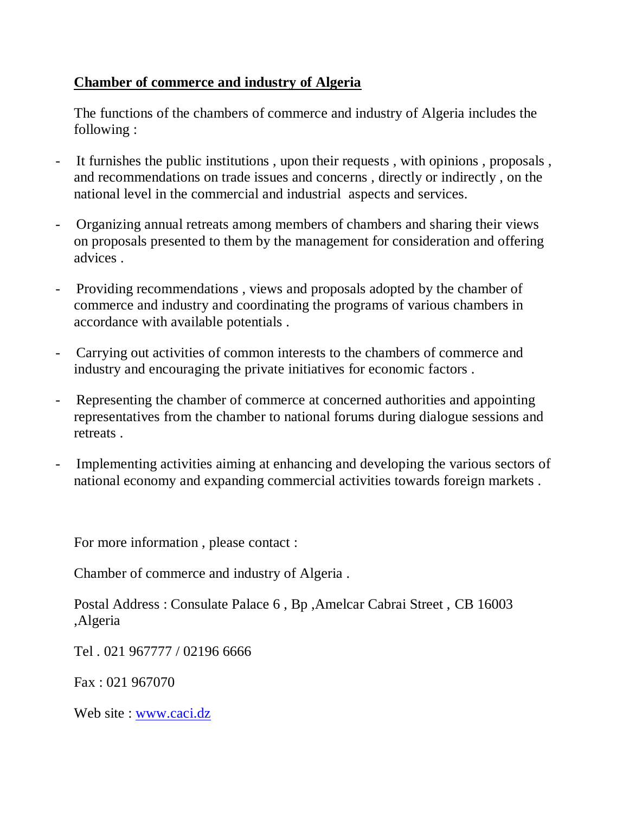## **Chamber of commerce and industry of Algeria**

The functions of the chambers of commerce and industry of Algeria includes the following :

- It furnishes the public institutions, upon their requests, with opinions, proposals, and recommendations on trade issues and concerns , directly or indirectly , on the national level in the commercial and industrial aspects and services.
- Organizing annual retreats among members of chambers and sharing their views on proposals presented to them by the management for consideration and offering advices .
- Providing recommendations , views and proposals adopted by the chamber of commerce and industry and coordinating the programs of various chambers in accordance with available potentials .
- Carrying out activities of common interests to the chambers of commerce and industry and encouraging the private initiatives for economic factors .
- Representing the chamber of commerce at concerned authorities and appointing representatives from the chamber to national forums during dialogue sessions and retreats .
- Implementing activities aiming at enhancing and developing the various sectors of national economy and expanding commercial activities towards foreign markets .

For more information , please contact :

Chamber of commerce and industry of Algeria .

Postal Address : Consulate Palace 6 , Bp ,Amelcar Cabrai Street , CB 16003 ,Algeria

Tel . 021 967777 / 02196 6666

Fax : 021 967070

Web site : [www.caci.dz](http://www.caci.dz/)